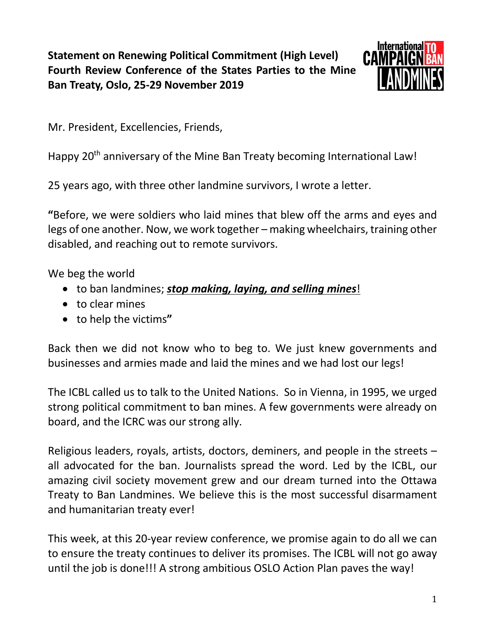## **Statement on Renewing Political Commitment (High Level) Fourth Review Conference of the States Parties to the Mine Ban Treaty, Oslo, 25-29 November 2019**



Mr. President, Excellencies, Friends,

Happy 20<sup>th</sup> anniversary of the Mine Ban Treaty becoming International Law!

25 years ago, with three other landmine survivors, I wrote a letter.

**"**Before, we were soldiers who laid mines that blew off the arms and eyes and legs of one another. Now, we work together – making wheelchairs, training other disabled, and reaching out to remote survivors.

We beg the world

- to ban landmines; *stop making, laying, and selling mines*!
- to clear mines
- to help the victims**"**

Back then we did not know who to beg to. We just knew governments and businesses and armies made and laid the mines and we had lost our legs!

The ICBL called us to talk to the United Nations. So in Vienna, in 1995, we urged strong political commitment to ban mines. A few governments were already on board, and the ICRC was our strong ally.

Religious leaders, royals, artists, doctors, deminers, and people in the streets – all advocated for the ban. Journalists spread the word. Led by the ICBL, our amazing civil society movement grew and our dream turned into the Ottawa Treaty to Ban Landmines. We believe this is the most successful disarmament and humanitarian treaty ever!

This week, at this 20-year review conference, we promise again to do all we can to ensure the treaty continues to deliver its promises. The ICBL will not go away until the job is done!!! A strong ambitious OSLO Action Plan paves the way!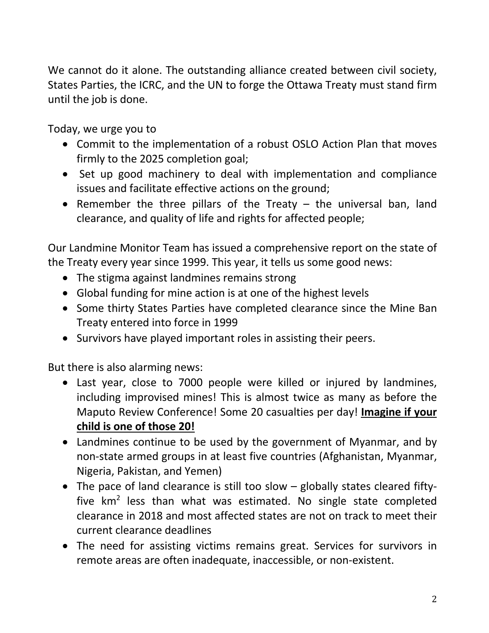We cannot do it alone. The outstanding alliance created between civil society, States Parties, the ICRC, and the UN to forge the Ottawa Treaty must stand firm until the job is done.

Today, we urge you to

- Commit to the implementation of a robust OSLO Action Plan that moves firmly to the 2025 completion goal;
- Set up good machinery to deal with implementation and compliance issues and facilitate effective actions on the ground;
- Remember the three pillars of the Treaty  $-$  the universal ban, land clearance, and quality of life and rights for affected people;

Our Landmine Monitor Team has issued a comprehensive report on the state of the Treaty every year since 1999. This year, it tells us some good news:

- The stigma against landmines remains strong
- Global funding for mine action is at one of the highest levels
- Some thirty States Parties have completed clearance since the Mine Ban Treaty entered into force in 1999
- Survivors have played important roles in assisting their peers.

But there is also alarming news:

- Last year, close to 7000 people were killed or injured by landmines, including improvised mines! This is almost twice as many as before the Maputo Review Conference! Some 20 casualties per day! **Imagine if your child is one of those 20!**
- Landmines continue to be used by the government of Myanmar, and by non-state armed groups in at least five countries (Afghanistan, Myanmar, Nigeria, Pakistan, and Yemen)
- The pace of land clearance is still too slow globally states cleared fiftyfive  $km^2$  less than what was estimated. No single state completed clearance in 2018 and most affected states are not on track to meet their current clearance deadlines
- The need for assisting victims remains great. Services for survivors in remote areas are often inadequate, inaccessible, or non-existent.